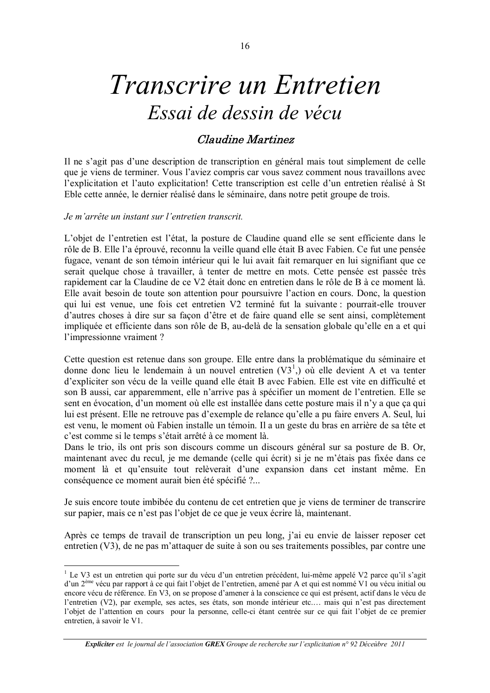## Transcrire un Entretien Essai de dessin de vécu

## **Claudine Martinez**

Il ne s'agit pas d'une description de transcription en général mais tout simplement de celle que je viens de terminer. Vous l'aviez compris car vous savez comment nous travaillons avec l'explicitation et l'auto explicitation! Cette transcription est celle d'un entretien réalisé à St Eble cette année, le dernier réalisé dans le séminaire, dans notre petit groupe de trois.

## Je m'arrête un instant sur l'entretien transcrit.

L'objet de l'entretien est l'état, la posture de Claudine quand elle se sent efficiente dans le rôle de B. Elle l'a éprouvé, reconnu la veille quand elle était B avec Fabien. Ce fut une pensée fugace, venant de son témoin intérieur qui le lui avait fait remarquer en lui signifiant que ce serait quelque chose à travailler, à tenter de mettre en mots. Cette pensée est passée très rapidement car la Claudine de ce V2 était donc en entretien dans le rôle de B à ce moment là. Elle avait besoin de toute son attention pour poursuivre l'action en cours. Donc, la question qui lui est venue, une fois cet entretien V2 terminé fut la suivante : pourrait-elle trouver d'autres choses à dire sur sa façon d'être et de faire quand elle se sent ainsi, complètement impliquée et efficiente dans son rôle de B, au-delà de la sensation globale qu'elle en a et qui l'impressionne vraiment ?

Cette question est retenue dans son groupe. Elle entre dans la problématique du séminaire et donne donc lieu le lendemain à un nouvel entretien  $(V3^1)$  où elle devient A et va tenter d'expliciter son vécu de la veille quand elle était B avec Fabien. Elle est vite en difficulté et son B aussi, car apparemment, elle n'arrive pas à spécifier un moment de l'entretien. Elle se sent en évocation, d'un moment où elle est installée dans cette posture mais il n'y a que ça qui lui est présent. Elle ne retrouve pas d'exemple de relance qu'elle a pu faire envers A. Seul, lui est venu, le moment où Fabien installe un témoin. Il a un geste du bras en arrière de sa tête et c'est comme si le temps s'était arrêté à ce moment là.

Dans le trio, ils ont pris son discours comme un discours général sur sa posture de B. Or, maintenant avec du recul, je me demande (celle qui écrit) si je ne m'étais pas fixée dans ce moment là et qu'ensuite tout relèverait d'une expansion dans cet instant même. En conséquence ce moment aurait bien été spécifié ?...

Je suis encore toute imbibée du contenu de cet entretien que je viens de terminer de transcrire sur papier, mais ce n'est pas l'objet de ce que je veux écrire là, maintenant.

Après ce temps de travail de transcription un peu long, j'ai eu envie de laisser reposer cet entretien (V3), de ne pas m'attaquer de suite à son ou ses traitements possibles, par contre une

**Expliciter** est le journal de l'association GREX Groupe de recherche sur l'explicitation n° 92 Déceubre 2011

<sup>&</sup>lt;sup>1</sup> Le V3 est un entretien qui porte sur du vécu d'un entretien précédent, lui-même appelé V2 parce qu'il s'agit d'un 2<sup>ème</sup> vécu par rapport à ce qui fait l'objet de l'entretien, amené par A et qui est nommé V1 ou vécu initial ou encore vécu de référence. En V3, on se propose d'amener à la conscience ce qui est présent, actif dans le vécu de l'entretien (V2), par exemple, ses actes, ses états, son monde intérieur etc.... mais qui n'est pas directement l'objet de l'attention en cours pour la personne, celle-ci étant centrée sur ce qui fait l'objet de ce premier entretien, à savoir le V1.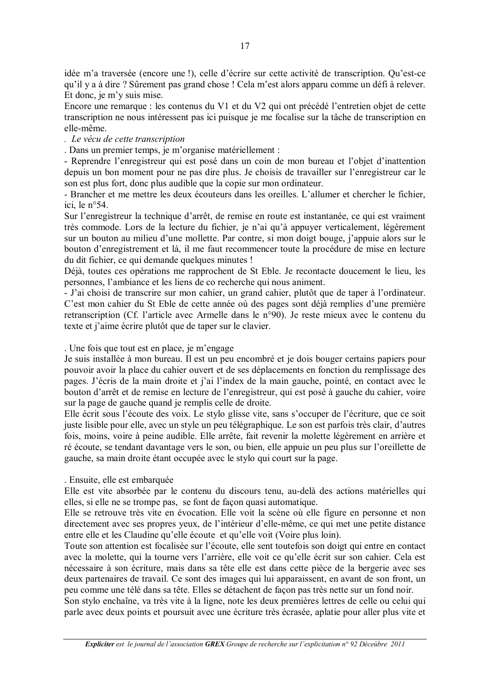idée m'a traversée (encore une !), celle d'écrire sur cette activité de transcription. Qu'est-ce qu'il y a à dire ? Sûrement pas grand chose ! Cela m'est alors apparu comme un défi à relever. Et donc, je m'y suis mise.

Encore une remarque : les contenus du V1 et du V2 qui ont précédé l'entretien objet de cette transcription ne nous intéressent pas ici puisque je me focalise sur la tâche de transcription en elle-même.

. Le vécu de cette transcription

. Dans un premier temps, ie m'organise matériellement :

- Reprendre l'enregistreur qui est posé dans un coin de mon bureau et l'objet d'inattention depuis un bon moment pour ne pas dire plus. Je choisis de travailler sur l'enregistreur car le son est plus fort, donc plus audible que la copie sur mon ordinateur.

- Brancher et me mettre les deux écouteurs dans les oreilles. L'allumer et chercher le fichier. ici. le  $n^{\circ}54$ .

Sur l'enregistreur la technique d'arrêt, de remise en route est instantanée, ce qui est vraiment très commode. Lors de la lecture du fichier, je n'ai qu'à appuyer verticalement, légèrement sur un bouton au milieu d'une mollette. Par contre, si mon doigt bouge, j'appuie alors sur le bouton d'enregistrement et là, il me faut recommencer toute la procédure de mise en lecture du dit fichier, ce qui demande quelques minutes !

Déjà, toutes ces opérations me rapprochent de St Eble. Je recontacte doucement le lieu, les personnes, l'ambiance et les liens de co recherche qui nous animent.

- J'ai choisi de transcrire sur mon cahier, un grand cahier, plutôt que de taper à l'ordinateur. C'est mon cahier du St Eble de cette année où des pages sont déjà remplies d'une première retranscription (Cf. l'article avec Armelle dans le n°90). Je reste mieux avec le contenu du texte et j'aime écrire plutôt que de taper sur le clavier.

. Une fois que tout est en place, je m'engage

Je suis installée à mon bureau. Il est un peu encombré et je dois bouger certains papiers pour pouvoir avoir la place du cahier ouvert et de ses déplacements en fonction du remplissage des pages. J'écris de la main droite et j'ai l'index de la main gauche, pointé, en contact avec le bouton d'arrêt et de remise en lecture de l'enregistreur, qui est posé à gauche du cahier, voire sur la page de gauche quand je remplis celle de droite.

Elle écrit sous l'écoute des voix. Le stylo glisse vite, sans s'occuper de l'écriture, que ce soit juste lisible pour elle, avec un style un peu télégraphique. Le son est parfois très clair, d'autres fois, moins, voire à peine audible. Elle arrête, fait revenir la molette légèrement en arrière et ré écoute, se tendant davantage vers le son, ou bien, elle appuie un peu plus sur l'oreillette de gauche, sa main droite étant occupée avec le stylo qui court sur la page.

## . Ensuite, elle est embarquée

Elle est vite absorbée par le contenu du discours tenu, au-delà des actions matérielles qui elles, si elle ne se trompe pas, se font de façon quasi automatique.

Elle se retrouve très vite en évocation. Elle voit la scène où elle figure en personne et non directement avec ses propres yeux, de l'intérieur d'elle-même, ce qui met une petite distance entre elle et les Claudine qu'elle écoute et qu'elle voit (Voire plus loin).

Toute son attention est focalisée sur l'écoute, elle sent toutefois son doigt qui entre en contact avec la molette, qui la tourne vers l'arrière, elle voit ce qu'elle écrit sur son cahier. Cela est nécessaire à son écriture, mais dans sa tête elle est dans cette pièce de la bergerie avec ses deux partenaires de travail. Ce sont des images qui lui apparaissent, en avant de son front, un peu comme une télé dans sa tête. Elles se détachent de facon pas très nette sur un fond noir.

Son stylo enchaîne, va très vite à la ligne, note les deux premières lettres de celle ou celui qui parle avec deux points et poursuit avec une écriture très écrasée, aplatie pour aller plus vite et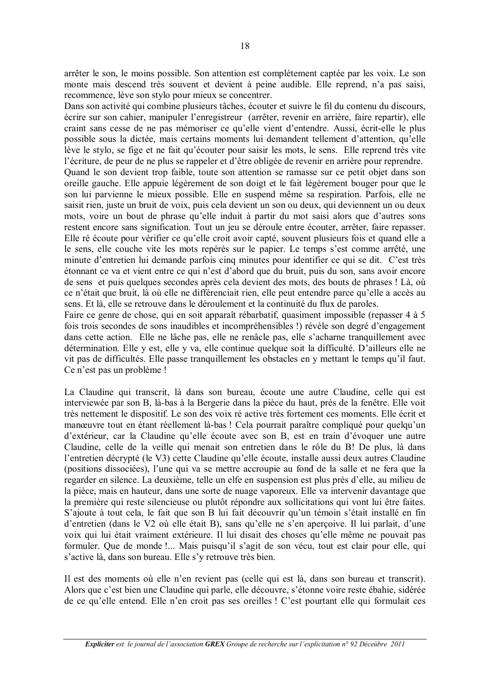arrêter le son, le moins possible. Son attention est complètement captée par les voix. Le son monte mais descend très souvent et devient à peine audible. Elle reprend, n'a pas saisi, recommence, lève son stylo pour mieux se concentrer.

Dans son activité qui combine plusieurs tâches, écouter et suivre le fil du contenu du discours, écrire sur son cahier, manipuler l'enregistreur (arrêter, revenir en arrière, faire repartir), elle craint sans cesse de ne pas mémoriser ce qu'elle vient d'entendre. Aussi, écrit-elle le plus possible sous la dictée, mais certains moments lui demandent tellement d'attention, qu'elle lève le stylo, se fige et ne fait qu'écouter pour saisir les mots, le sens. Elle reprend très vite l'écriture, de peur de ne plus se rappeler et d'être obligée de revenir en arrière pour reprendre. Quand le son devient trop faible, toute son attention se ramasse sur ce petit objet dans son oreille gauche. Elle appuie légèrement de son doigt et le fait légèrement bouger pour que le son lui parvienne le mieux possible. Elle en suspend même sa respiration. Parfois, elle ne saisit rien, juste un bruit de voix, puis cela devient un son ou deux, qui deviennent un ou deux mots, voire un bout de phrase qu'elle induit à partir du mot saisi alors que d'autres sons restent encore sans signification. Tout un jeu se déroule entre écouter, arrêter, faire repasser. Elle ré écoute pour vérifier ce qu'elle croit avoir capté, souvent plusieurs fois et quand elle a le sens, elle couche vite les mots repérés sur le papier. Le temps s'est comme arrêté, une minute d'entretien lui demande parfois cinq minutes pour identifier ce qui se dit. C'est très étonnant ce va et vient entre ce qui n'est d'abord que du bruit, puis du son, sans avoir encore de sens et puis quelques secondes après cela devient des mots, des bouts de phrases ! Là, où ce n'était que bruit, là où elle ne différenciait rien, elle peut entendre parce qu'elle a accès au sens. Et là, elle se retrouve dans le déroulement et la continuité du flux de paroles.

Faire ce genre de chose, qui en soit apparaît rébarbatif, quasiment impossible (repasser 4 à 5 fois trois secondes de sons inaudibles et incompréhensibles!) révèle son degré d'engagement dans cette action. Elle ne lâche pas, elle ne renâcle pas, elle s'acharne tranquillement avec détermination. Elle y est, elle y va, elle continue quelque soit la difficulté. D'ailleurs elle ne vit pas de difficultés. Elle passe tranquillement les obstacles en y mettant le temps qu'il faut. Ce n'est pas un problème !

La Claudine qui transcrit, là dans son bureau, écoute une autre Claudine, celle qui est interviewée par son B, là-bas à la Bergerie dans la pièce du haut, près de la fenêtre. Elle voit très nettement le dispositif. Le son des voix ré active très fortement ces moments. Elle écrit et manœuvre tout en étant réellement là-bas ! Cela pourrait paraître compliqué pour quelqu'un d'extérieur, car la Claudine qu'elle écoute avec son B, est en train d'évoquer une autre Claudine, celle de la veille qui menait son entretien dans le rôle du B! De plus, là dans l'entretien décrypté (le V3) cette Claudine qu'elle écoute, installe aussi deux autres Claudine (positions dissociées), l'une qui va se mettre accroupie au fond de la salle et ne fera que la regarder en silence. La deuxième, telle un elfe en suspension est plus près d'elle, au milieu de la pièce, mais en hauteur, dans une sorte de nuage vaporeux. Elle va intervenir davantage que la première qui reste silencieuse ou plutôt répondre aux sollicitations qui vont lui être faites. S'ajoute à tout cela, le fait que son B lui fait découvrir qu'un témoin s'était installé en fin d'entretien (dans le V2 où elle était B), sans qu'elle ne s'en aperçoive. Il lui parlait, d'une voix qui lui était vraiment extérieure. Il lui disait des choses qu'elle même ne pouvait pas formuler. Que de monde !... Mais puisqu'il s'agit de son vécu, tout est clair pour elle, qui s'active là, dans son bureau. Elle s'y retrouve très bien.

Il est des moments où elle n'en revient pas (celle qui est là, dans son bureau et transcrit). Alors que c'est bien une Claudine qui parle, elle découvre, s'étonne voire reste ébahie, sidérée de ce qu'elle entend. Elle n'en croit pas ses oreilles ! C'est pourtant elle qui formulait ces